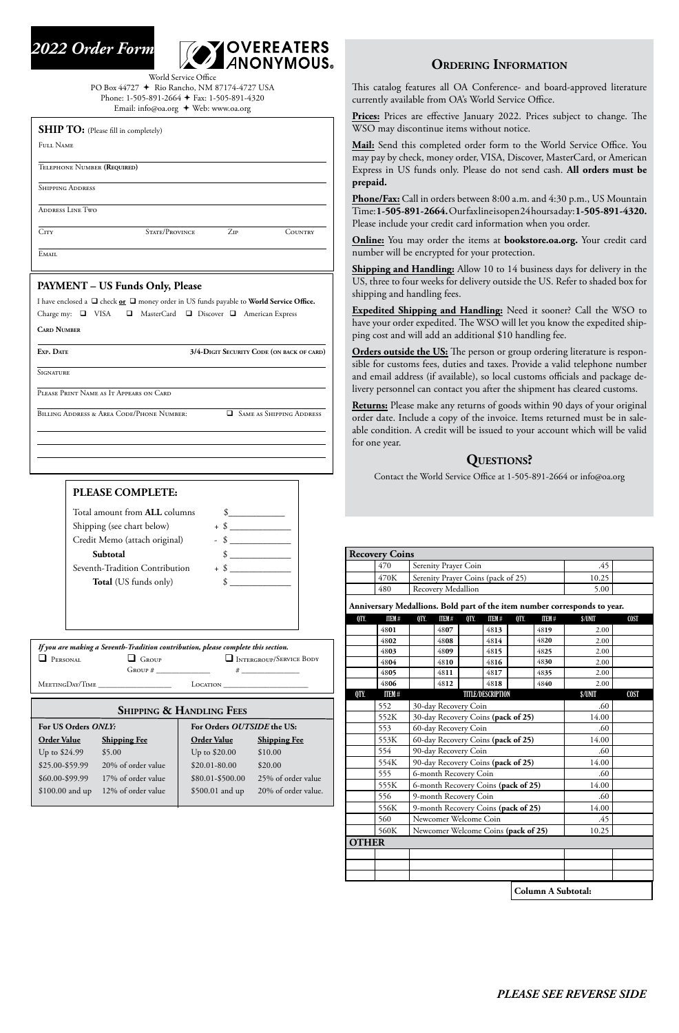## **Ordering Information**

This catalog features all OA Conference- and board-approved literature currently available from OA's World Service Office.

**Prices:** Prices are effective January 2022. Prices subject to change. The WSO may discontinue items without notice.

**Mail:** Send this completed order form to the World Service Office. You may pay by check, money order, VISA, Discover, MasterCard, or American Express in US funds only. Please do not send cash. **All orders must be prepaid.**

**Phone/Fax:** Call in orders between 8:00 a.m. and 4:30 p.m., US Mountain Time:**1-505-891-2664.** Our fax line is open 24 hours a day: **1-505-891-4320.** Please include your credit card information when you order.

**Online:** You may order the items at **bookstore.oa.org.** Your credit card number will be encrypted for your protection.

World Service Office PO Box 44727 Rio Rancho, NM 87174-4727 USA Phone: 1-505-891-2664 + Fax: 1-505-891-4320 Email: info@oa.org + Web: www.oa.org

> **Shipping and Handling:** Allow 10 to 14 business days for delivery in the US, three to four weeks for delivery outside the US. Refer to shaded box for shipping and handling fees.

| If you are making a Seventh-Tradition contribution, please complete this section. |                  |                         |  |  |  |  |  |
|-----------------------------------------------------------------------------------|------------------|-------------------------|--|--|--|--|--|
| $\Box$ PERSONAL                                                                   | $\Box$ Group     | INTERGROUP/SERVICE BODY |  |  |  |  |  |
|                                                                                   | $G_{\rm ROUP}$ # |                         |  |  |  |  |  |
| MEETINGDAY/TIME                                                                   |                  | LOCATION                |  |  |  |  |  |

**Expedited Shipping and Handling:** Need it sooner? Call the WSO to have your order expedited. The WSO will let you know the expedited shipping cost and will add an additional \$10 handling fee.

**SHIP TO:** (Please fill in completely) Full Name Telephone Number **(Required)** Shipping Address ADDRESS LINE TWO City State/Province Zip Country EMAIL **PAYMENT – US Funds Only, Please** I have enclosed a  $\Box$  check  $\underline{\text{or}}$   $\Box$  money order in US funds payable to **World Service Office.** Charge my:  $\Box$  VISA  $\Box$  MasterCard  $\Box$  Discover  $\Box$  American Express **Card Number** 

**SIGNATURE** 

**EXP.** DATE **3/4-DIGIT SECURITY CODE (ON BACK OF CARD)** 

| Total amount from <b>ALL</b> columns |        |
|--------------------------------------|--------|
| Shipping (see chart below)           | $+$ \$ |
| Credit Memo (attach original)        | \$     |
| Subtotal                             |        |
| Seventh-Tradition Contribution       | $+$ \$ |
| <b>Total</b> (US funds only)         |        |

**Orders outside the US:** The person or group ordering literature is responsible for customs fees, duties and taxes. Provide a valid telephone number and email address (if available), so local customs officials and package delivery personnel can contact you after the shipment has cleared customs.

**Returns:** Please make any returns of goods within 90 days of your original order date. Include a copy of the invoice. Items returned must be in saleable condition. A credit will be issued to your account which will be valid for one year.





Please Print Name as It Appears on Card

BILLING ADDRESS & AREA CODE/PHONE NUMBER: **SAME AS SHIPPING ADDRESS** 

## **Shipping & Handling Fees**

| For US Orders ONLY: |                     | For Orders OUTSIDE the US: |                     |  |  |
|---------------------|---------------------|----------------------------|---------------------|--|--|
| <b>Order Value</b>  | <b>Shipping Fee</b> |                            | <b>Shipping Fee</b> |  |  |
| Up to \$24.99       | \$5.00              | Up to \$20.00              | \$10.00             |  |  |
| \$25.00-\$59.99     | 20% of order value  | $$20.01 - 80.00$           | \$20.00             |  |  |
| \$60.00-\$99.99     | 17% of order value  | \$80.01-\$500.00           | 25% of order value  |  |  |
| \$100.00 and up     | 12% of order value  | \$500.01 and up            | 20% of order value. |  |  |
|                     |                     |                            |                     |  |  |

### *PLEASE SEE REVERSE SIDE*

# **Questions?**

Contact the World Service Office at 1-505-891-2664 or info@oa.org

| <b>Recovery Coins</b>                                                     |      |                                    |       |  |  |
|---------------------------------------------------------------------------|------|------------------------------------|-------|--|--|
|                                                                           | 470  | Serenity Prayer Coin               | .45   |  |  |
|                                                                           | 470K | Serenity Prayer Coins (pack of 25) | 10.25 |  |  |
|                                                                           | 480  | <b>Recovery Medallion</b>          | 5.00  |  |  |
| Anniversary Medallions. Bold part of the item number corresponds to year. |      |                                    |       |  |  |

| QTY.         | <b>ITEM#</b> | QTY. | <b>ITEM#</b>                        | QTY. | <b>ITEM#</b>                       | QTY.  | <b>ITEM#</b>                                 | \$/UNIT | <b>COST</b> |
|--------------|--------------|------|-------------------------------------|------|------------------------------------|-------|----------------------------------------------|---------|-------------|
|              | 4801         |      | 4807                                |      | 4813                               |       | 4819                                         | 2.00    |             |
|              | 4802         |      | 4808                                |      | 4814                               |       | 4820                                         | 2.00    |             |
|              | 4803         |      | 4809                                |      | 4815                               |       | 4825                                         | 2.00    |             |
|              | 4804         |      | 4810                                |      | 4816                               |       | 4830                                         | 2.00    |             |
|              | 4805         |      | 4811                                |      | 4817                               |       | 4835                                         | 2.00    |             |
|              | 4806         |      | 4812                                |      | 4818                               |       | 4840                                         | 2.00    |             |
| QTY.         | <b>ITEM#</b> |      |                                     |      | <b>TITLE/DESCRIPTION</b>           |       |                                              | \$/UNIT | <b>COST</b> |
|              | 552          |      | 30-day Recovery Coin                |      |                                    |       |                                              | .60     |             |
|              | 552K         |      |                                     |      | 30-day Recovery Coins (pack of 25) |       |                                              | 14.00   |             |
|              | 553          |      | 60-day Recovery Coin                |      |                                    |       |                                              | .60     |             |
|              | 553K         |      | 60-day Recovery Coins (pack of 25)  |      | 14.00                              |       |                                              |         |             |
|              | 554          |      | 90-day Recovery Coin                |      | .60                                |       |                                              |         |             |
|              | 554K         |      | 90-day Recovery Coins (pack of 25)  |      | 14.00                              |       |                                              |         |             |
|              | 555          |      | 6-month Recovery Coin               |      | .60                                |       |                                              |         |             |
|              | 555K         |      | 6-month Recovery Coins (pack of 25) |      | 14.00                              |       |                                              |         |             |
|              | 556          |      | 9-month Recovery Coin               |      | .60                                |       |                                              |         |             |
|              | 556K         |      | 9-month Recovery Coins (pack of 25) |      |                                    | 14.00 |                                              |         |             |
|              | 560          |      | Newcomer Welcome Coin               |      |                                    |       |                                              | .45     |             |
|              | 560K         |      | Newcomer Welcome Coins (pack of 25) |      |                                    | 10.25 |                                              |         |             |
| <b>OTHER</b> |              |      |                                     |      |                                    |       |                                              |         |             |
|              |              |      |                                     |      |                                    |       |                                              |         |             |
|              |              |      |                                     |      |                                    |       |                                              |         |             |
|              |              |      |                                     |      |                                    |       |                                              |         |             |
|              |              |      |                                     |      |                                    |       | $C_1$ 1. $\ldots$ $A_1$ $C_1$ 1. $\ldots$ 1. |         |             |

#### **Column A Subtotal:**